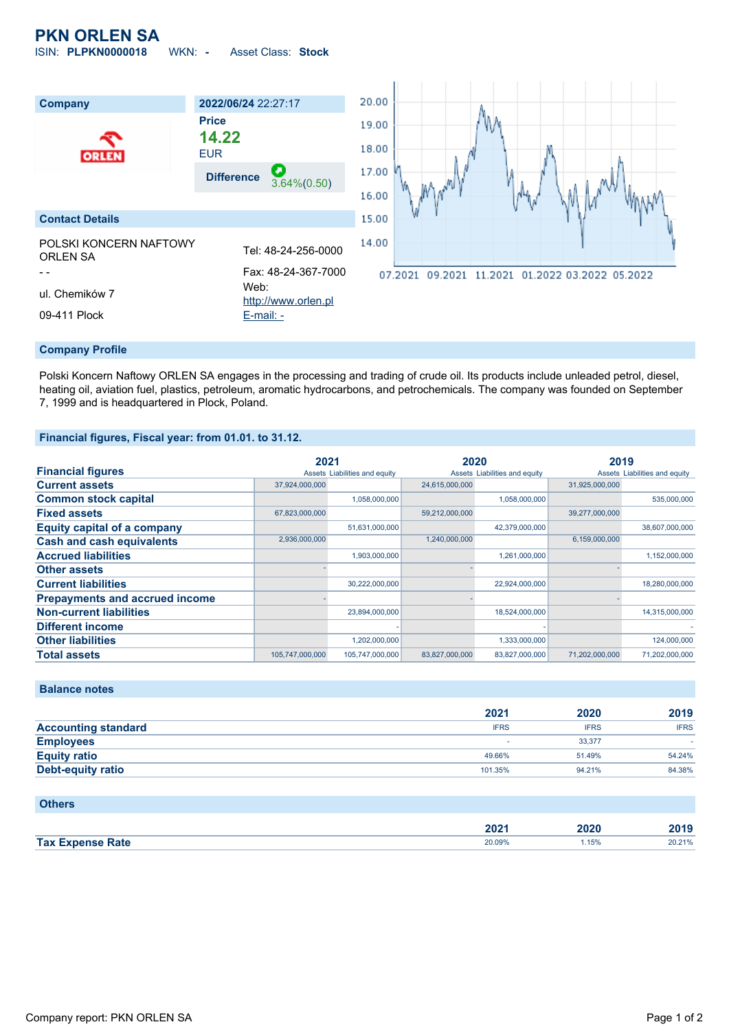# **PKN ORLEN SA**

ISIN: **PLPKN0000018** WKN: **-** Asset Class: **Stock**



#### **Company Profile**

Polski Koncern Naftowy ORLEN SA engages in the processing and trading of crude oil. Its products include unleaded petrol, diesel, heating oil, aviation fuel, plastics, petroleum, aromatic hydrocarbons, and petrochemicals. The company was founded on September 7, 1999 and is headquartered in Plock, Poland.

## **Financial figures, Fiscal year: from 01.01. to 31.12.**

|                                       | 2021            |                               | 2020           |                               | 2019           |                               |
|---------------------------------------|-----------------|-------------------------------|----------------|-------------------------------|----------------|-------------------------------|
| <b>Financial figures</b>              |                 | Assets Liabilities and equity |                | Assets Liabilities and equity |                | Assets Liabilities and equity |
| <b>Current assets</b>                 | 37,924,000,000  |                               | 24,615,000,000 |                               | 31.925.000.000 |                               |
| <b>Common stock capital</b>           |                 | 1,058,000,000                 |                | 1,058,000,000                 |                | 535,000,000                   |
| <b>Fixed assets</b>                   | 67,823,000,000  |                               | 59,212,000,000 |                               | 39,277,000,000 |                               |
| <b>Equity capital of a company</b>    |                 | 51,631,000,000                |                | 42,379,000,000                |                | 38,607,000,000                |
| <b>Cash and cash equivalents</b>      | 2,936,000,000   |                               | 1,240,000,000  |                               | 6,159,000,000  |                               |
| <b>Accrued liabilities</b>            |                 | 1,903,000,000                 |                | 1,261,000,000                 |                | 1,152,000,000                 |
| <b>Other assets</b>                   |                 |                               |                |                               |                |                               |
| <b>Current liabilities</b>            |                 | 30,222,000,000                |                | 22,924,000,000                |                | 18,280,000,000                |
| <b>Prepayments and accrued income</b> |                 |                               |                |                               |                |                               |
| <b>Non-current liabilities</b>        |                 | 23,894,000,000                |                | 18,524,000,000                |                | 14,315,000,000                |
| <b>Different income</b>               |                 |                               |                |                               |                |                               |
| <b>Other liabilities</b>              |                 | 1,202,000,000                 |                | 1,333,000,000                 |                | 124,000,000                   |
| <b>Total assets</b>                   | 105,747,000,000 | 105,747,000,000               | 83,827,000,000 | 83,827,000,000                | 71.202.000.000 | 71,202,000,000                |

# **Balance notes**

|                            | 2021        | 2020        | 2019        |
|----------------------------|-------------|-------------|-------------|
| <b>Accounting standard</b> | <b>IFRS</b> | <b>IFRS</b> | <b>IFRS</b> |
| <b>Employees</b>           |             | 33.377      |             |
| <b>Equity ratio</b>        | 49.66%      | 51.49%      | 54.24%      |
| <b>Debt-equity ratio</b>   | 101.35%     | 94.21%      | 84.38%      |

#### **Others**

|                         | ימח<br>ZUZ ' | 2020 | 2019                  |
|-------------------------|--------------|------|-----------------------|
| <b>Tax Expense Rate</b> | 20.09%       | 15%  | <b>201210</b><br>20.Z |